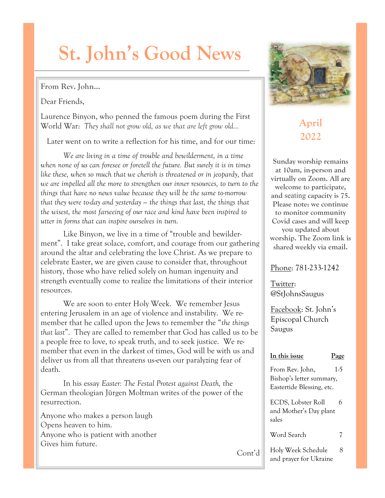# **St. John's Good News**

#### **From Rev. John…**

Dear Friends,

Laurence Binyon, who penned the famous poem during the First World War: *They shall not grow old, as we that are left grow old…*

Later went on to write a reflection for his time, and for our time:

*We are living in a time of trouble and bewilderment, in a time when none of us can foresee or foretell the future. But surely it is in times like these, when so much that we cherish is threatened or in jeopardy, that we are impelled all the more to strengthen our inner resources, to turn to the things that have no news value because they will be the same to-morrow that they were to-day and yesterday — the things that last, the things that the wisest, the most farseeing of our race and kind have been inspired to utter in forms that can inspire ourselves in turn.*

Like Binyon, we live in a time of "trouble and bewilderment". I take great solace, comfort, and courage from our gathering around the altar and celebrating the love Christ. As we prepare to celebrate Easter, we are given cause to consider that, throughout history, those who have relied solely on human ingenuity and strength eventually come to realize the limitations of their interior resources.

We are soon to enter Holy Week. We remember Jesus entering Jerusalem in an age of violence and instability. We remember that he called upon the Jews to remember the "*the things that last*". They are called to remember that God has called us to be a people free to love, to speak truth, and to seek justice. We remember that even in the darkest of times, God will be with us and deliver us from all that threatens us-even our paralyzing fear of death.

In his essay *Easter: The Festal Protest against Death, t*he German theologian Jürgen Moltman writes of the power of the resurrection.

Anyone who makes a person laugh Opens heaven to him. Anyone who is patient with another Gives him future.

Cont'd



## **April 2022**

**Sunday worship remains at 10am, in-person and virtually on Zoom. All are welcome to participate, and** seating **capacity is 75. Please note: we continue to monitor community Covid cases and will keep you updated about worship. The Zoom link is shared weekly via email.** 

#### Phone: 781-233-1242

Twitter: @StJohnsSaugus

Facebook: St. John's Episcopal Church Saugus

#### **In this issue Page**

From Rev. John, 1-5 Bishop's letter summary, Eastertide Blessing, etc.

ECDS, Lobster Roll 6 and Mother's Day plant sales

Word Search 7

Holy Week Schedule 8 and prayer for Ukraine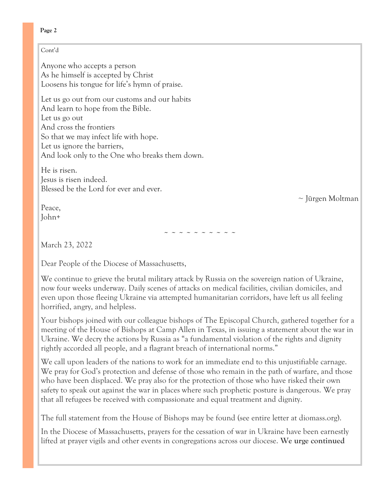#### **Page 2**

#### Cont'd

Anyone who accepts a person As he himself is accepted by Christ Loosens his tongue for life's hymn of praise.

Let us go out from our customs and our habits And learn to hope from the Bible. Let us go out And cross the frontiers So that we may infect life with hope. Let us ignore the barriers, And look only to the One who breaks them down.

He is risen. Jesus is risen indeed. Blessed be the Lord for ever and ever.

Peace, John+

~ Jürgen Moltman

~ ~ ~ ~ ~ ~ ~ ~ ~ ~

March 23, 2022

Dear People of the Diocese of Massachusetts,

We continue to grieve the brutal military attack by Russia on the sovereign nation of Ukraine, now four weeks underway. Daily scenes of attacks on medical facilities, civilian domiciles, and even upon those fleeing Ukraine via attempted humanitarian corridors, have left us all feeling horrified, angry, and helpless.

Your bishops joined with our colleague bishops of The Episcopal Church, gathered together for a meeting of the House of Bishops at Camp Allen in Texas, in issuing a statement about the war in Ukraine. We decry the actions by Russia as "a fundamental violation of the rights and dignity rightly accorded all people, and a flagrant breach of international norms."

We call upon leaders of the nations to work for an immediate end to this unjustifiable carnage. We pray for God's protection and defense of those who remain in the path of warfare, and those who have been displaced. We pray also for the protection of those who have risked their own safety to speak out against the war in places where such prophetic posture is dangerous. We pray that all refugees be received with compassionate and equal treatment and dignity.

The full statement from the House of Bishops may be found (see entire letter at diomass.org).

In the Diocese of Massachusetts, prayers for the cessation of war in Ukraine have been earnestly lifted at prayer vigils and other events in congregations across our diocese. **We urge continued**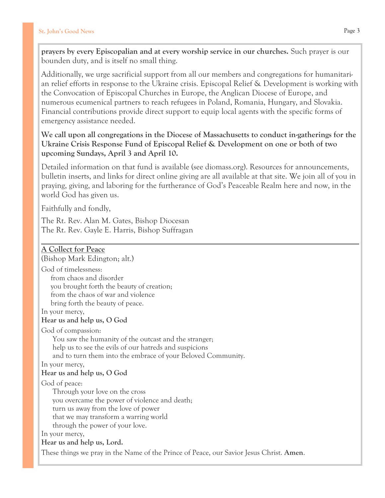**prayers by every Episcopalian and at every worship service in our churches.** Such prayer is our bounden duty, and is itself no small thing.

Additionally, we urge sacrificial support from all our members and congregations for humanitarian relief efforts in response to the Ukraine crisis. Episcopal Relief & Development is working with the Convocation of Episcopal Churches in Europe, the Anglican Diocese of Europe, and numerous ecumenical partners to reach refugees in Poland, Romania, Hungary, and Slovakia. Financial contributions provide direct support to equip local agents with the specific forms of emergency assistance needed.

**We call upon all congregations in the Diocese of Massachusetts to conduct in-gatherings for the Ukraine Crisis Response Fund of Episcopal Relief & Development on one or both of two upcoming Sundays, April 3 and April 10.**

Detailed information on that fund is available (see diomass.org). Resources for announcements, bulletin inserts, and links for direct online giving are all available at that site. We join all of you in praying, giving, and laboring for the furtherance of God's Peaceable Realm here and now, in the world God has given us.

Faithfully and fondly,

The Rt. Rev. Alan M. Gates, Bishop Diocesan The Rt. Rev. Gayle E. Harris, Bishop Suffragan

#### **A Collect for Peace**

(Bishop Mark Edington; alt.)

God of timelessness: from chaos and disorder you brought forth the beauty of creation; from the chaos of war and violence bring forth the beauty of peace.

In your mercy,

#### **Hear us and help us, O God**

God of compassion:

 You saw the humanity of the outcast and the stranger; help us to see the evils of our hatreds and suspicions and to turn them into the embrace of your Beloved Community.

In your mercy,

#### **Hear us and help us, O God**

God of peace:

 Through your love on the cross you overcame the power of violence and death; turn us away from the love of power that we may transform a warring world through the power of your love.

In your mercy,

#### **Hear us and help us, Lord.**

These things we pray in the Name of the Prince of Peace, our Savior Jesus Christ. **Amen**.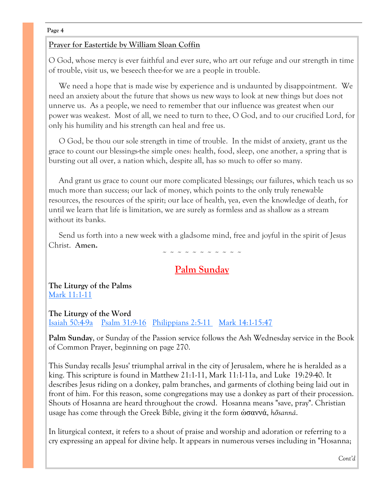#### **Page 4**

#### **Prayer for Eastertide by William Sloan Coffin**

O God, whose mercy is ever faithful and ever sure, who art our refuge and our strength in time of trouble, visit us, we beseech thee-for we are a people in trouble.

 We need a hope that is made wise by experience and is undaunted by disappointment. We need an anxiety about the future that shows us new ways to look at new things but does not unnerve us. As a people, we need to remember that our influence was greatest when our power was weakest. Most of all, we need to turn to thee, O God, and to our crucified Lord, for only his humility and his strength can heal and free us.

 O God, be thou our sole strength in time of trouble. In the midst of anxiety, grant us the grace to count our blessings-the simple ones: health, food, sleep, one another, a spring that is bursting out all over, a nation which, despite all, has so much to offer so many.

 And grant us grace to count our more complicated blessings; our failures, which teach us so much more than success; our lack of money, which points to the only truly renewable resources, the resources of the spirit; our lace of health, yea, even the knowledge of death, for until we learn that life is limitation, we are surely as formless and as shallow as a stream without its banks.

 Send us forth into a new week with a gladsome mind, free and joyful in the spirit of Jesus Christ. **Amen.**

### **Palm Sunday**

~ ~ ~ ~ ~ ~ ~ ~ ~ ~ ~

**The Liturgy of the Palms** [Mark 11:1-11](http://www.lectionarypage.net/YearB_RCL/HolyWeek/BPalmSun_RCL.html#GOSPEL)

#### **The Liturgy of the Word**

[Isaiah 50:4-9a](http://www.lectionarypage.net/YearB_RCL/HolyWeek/BPalmSun_RCL.html#OLDTEST) [Psalm 31:9-16](http://www.lectionarypage.net/YearB_RCL/HolyWeek/BPalmSun_RCL.html#PSALM2) [Philippians 2:5-11](http://www.lectionarypage.net/YearB_RCL/HolyWeek/BPalmSun_RCL.html#EPISTLE) [Mark 14:1-15:47](http://www.lectionarypage.net/YearB_RCL/HolyWeek/BPalmSun_RCL.html#GOSPEL2)

**Palm Sunday**, or Sunday of the Passion service follows the Ash Wednesday service in the Book of Common Prayer, beginning on page 270.

This Sunday recalls Jesus' triumphal arrival in the city of Jerusalem, where he is heralded as a king. This scripture is found in Matthew 21:1-11, Mark 11:1-11a, and Luke 19:29-40. It describes Jesus riding on a donkey, palm branches, and garments of clothing being laid out in front of him. For this reason, some congregations may use a donkey as part of their procession. Shouts of Hosanna are heard throughout the crowd. Hosanna means "save, pray". Christian usage has come through the Greek Bible, giving it the form ὡσαννά, *hōsanná*.

In liturgical context, it refers to a shout of praise and worship and adoration or referring to a cry expressing an appeal for divine help. It appears in numerous verses including in "Hosanna;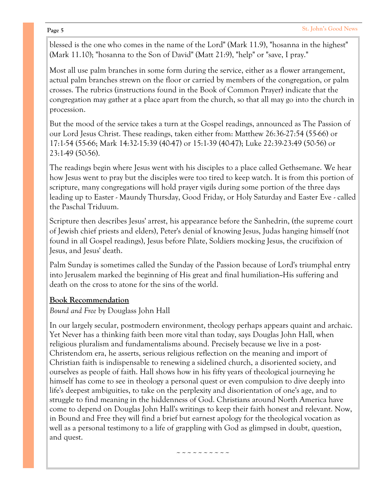blessed is the one who comes in the name of the Lord" ([Mark 11.9\),](http://bibref.hebtools.com/?book=%20Mark&verse=11.9&src=!) "hosanna in the highest" [\(Mark 11.10\);](http://bibref.hebtools.com/?book=%20Mark&verse=11.10&src=!) "hosanna to the Son of David" ([Matt 21:9\),](http://bibref.hebtools.com/?book=%20Matt&verse=21:9&src=!) "help" or "save, I pray."

Most all use palm branches in some form during the service, either as a flower arrangement, actual palm branches strewn on the floor or carried by members of the congregation, or palm crosses. The rubrics (instructions found in the Book of Common Prayer) indicate that the congregation may gather at a place apart from the church, so that all may go into the church in procession.

But the mood of the service takes a turn at the Gospel readings, announced as The Passion of our Lord Jesus Christ. These readings, taken either from: Matthew 26:36-27:54 (55-66) or 17:1-54 (55-66; Mark 14:32-15:39 (40-47) or 15:1-39 (40-47); Luke 22:39-23:49 (50-56) or 23:1-49 (50-56).

The readings begin where Jesus went with his disciples to a place called Gethsemane. We hear how Jesus went to pray but the disciples were too tired to keep watch. It is from this portion of scripture, many congregations will hold prayer vigils during some portion of the three days leading up to Easter - Maundy Thursday, Good Friday, or Holy Saturday and Easter Eve - called the Paschal Triduum.

Scripture then describes Jesus' arrest, his appearance before the Sanhedrin, (the supreme court of Jewish chief priests and elders), Peter's denial of knowing Jesus, Judas hanging himself (not found in all Gospel readings), Jesus before Pilate, Soldiers mocking Jesus, the crucifixion of Jesus, and Jesus' death.

Palm Sunday is sometimes called the Sunday of the Passion because of Lord's triumphal entry into Jerusalem marked the beginning of His great and final humiliation--His suffering and death on the cross to atone for the sins of the world.

#### **Book Recommendation**

*Bound and Free* by Douglass John Hall

In our largely secular, postmodern environment, theology perhaps appears quaint and archaic. Yet Never has a thinking faith been more vital than today, says Douglas John Hall, when religious pluralism and fundamentalisms abound. Precisely because we live in a post-Christendom era, he asserts, serious religious reflection on the meaning and import of Christian faith is indispensable to renewing a sidelined church, a disoriented society, and ourselves as people of faith. Hall shows how in his fifty years of theological journeying he himself has come to see in theology a personal quest or even compulsion to dive deeply into life's deepest ambiguities, to take on the perplexity and disorientation of one's age, and to struggle to find meaning in the hiddenness of God. Christians around North America have come to depend on Douglas John Hall's writings to keep their faith honest and relevant. Now, in Bound and Free they will find a brief but earnest apology for the theological vocation as well as a personal testimony to a life of grappling with God as glimpsed in doubt, question, and quest.

 $\sim\sim\sim\sim\sim\sim\sim\sim$ 

#### **Page 5**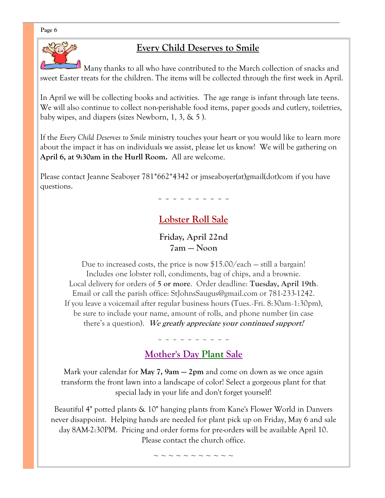#### **Page 6**



## **Every Child Deserves to Smile**

Many thanks to all who have contributed to the March collection of snacks and sweet Easter treats for the children. The items will be collected through the first week in April.

In April we will be collecting books and activities. The age range is infant through late teens. We will also continue to collect non-perishable food items, paper goods and cutlery, toiletries, baby wipes, and diapers (sizes Newborn, 1, 3, & 5 ).

If the *Every Child Deserves to Smile* ministry touches your heart or you would like to learn more about the impact it has on individuals we assist, please let us know! We will be gathering on **April 6, at 9:30am in the Hurll Room.** All are welcome.

Please contact Jeanne Seaboyer 781\*662\*4342 or [jmseaboyer\(at\)gmail\(dot\)com](mailto:jmseaboyer@gmail.com) if you have questions.

~ ~ ~ ~ ~ ~ ~ ~ ~ ~

## **Lobster Roll Sale**

**Friday, April 22nd 7am — Noon**

Due to increased costs, the price is now \$15.00/each — still a bargain! Includes one lobster roll, condiments, bag of chips, and a brownie. Local delivery for orders of **5 or more**. Order deadline: **Tuesday, April 19th**. Email or call the parish office: StJohnsSaugus@gmail.com or 781-233-1242. If you leave a voicemail after regular business hours (Tues.-Fri. 8:30am-1:30pm), be sure to include your name, amount of rolls, and phone number (in case there's a question). **We greatly appreciate your continued support!** 

~ ~ ~ ~ ~ ~ ~ ~ ~ ~

## **Mother's Day Plant Sale**

Mark your calendar for **May 7, 9am — 2pm** and come on down as we once again transform the front lawn into a landscape of color! Select a gorgeous plant for that special lady in your life and don't forget yourself!

Beautiful 4" potted plants & 10" hanging plants from Kane's Flower World in Danvers never disappoint. Helping hands are needed for plant pick up on Friday, May 6 and sale day 8AM-2:30PM. Pricing and order forms for pre-orders will be available April 10. Please contact the church office.

~ ~ ~ ~ ~ ~ ~ ~ ~ ~ ~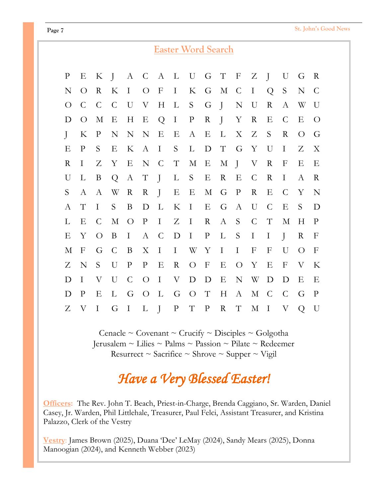|                           | <b>Easter Word Search</b> |                           |                |                  |                  |                           |                           |                  |                           |                          |                  |                           |                  |                           |                |                  |
|---------------------------|---------------------------|---------------------------|----------------|------------------|------------------|---------------------------|---------------------------|------------------|---------------------------|--------------------------|------------------|---------------------------|------------------|---------------------------|----------------|------------------|
| $\mathbf{P}$              | Е                         | K                         | $\overline{J}$ | $\mathbf{A}$     | $\mathcal{C}$    | A                         | $\Gamma$                  | $\mathbf U$      | G                         | $\top$                   | $\mathbf{F}$     | Z                         | $\int$           | U                         | G              | $\mathbf R$      |
| N                         | $\overline{O}$            | R                         | K              | $\mathbf I$      | $\overline{O}$   | $\boldsymbol{\mathrm{F}}$ | $\bf{I}$                  | K                | G                         | $\mathbf M$              | $\mathcal{C}$    | $\mathbf I$               | Q                | $\mathbf S$               | N              | $\mathcal{C}$    |
| $\bigcirc$                | $\mathcal{C}$             | $\mathcal{C}$             | $\mathcal{C}$  | U                | V                | H                         | $\Gamma$                  | S                | G                         | $\int$                   | $\mathbf N$      | U                         | $\mathbf R$      | $\boldsymbol{A}$          | W              | U                |
| D                         | $\overline{O}$            | М                         | E              | H                | E                | Q                         | $\rm I$                   | $\mathbf{P}$     | $\mathbf R$               | $\overline{\phantom{a}}$ | Y                | $\mathbf R$               | E                | $\mathcal{C}$             | Е              | $\overline{O}$   |
| $\mathbf{I}$              | K                         | $\mathbf P$               | N              | $\mathbf N$      | N                | Ε                         | Ε                         | $\boldsymbol{A}$ | E                         | $\Gamma$                 | X                | Z                         | S                | $\mathbf R$               | $\overline{O}$ | G                |
| Ε                         | P                         | S                         | Ε              | K                | $\boldsymbol{A}$ | $\bf{I}$                  | S                         | L                | $\mathbf D$               | $\mathbf T$              | G                | Y                         | U                | I                         | Ζ              | X                |
| $\mathbf R$               | I                         | Z                         | Y              | E                | $\mathbf N$      | $\mathsf{C}$              | $\mathbf T$               | $\mathbf M$      | E                         | М                        | $\int$           | $\boldsymbol{\mathrm{V}}$ | $\mathbf R$      | $\mathbf{F}$              | Ε              | Е                |
| U                         | L                         | B                         | Q              | $\boldsymbol{A}$ | $\mathbf T$      | $\mathbf{J}$              | $\Gamma$                  | S                | E                         | $\rm R$                  | Ε                | $\mathcal{C}$             | $\mathbf R$      | $\bf I$                   | A              | $\rm R$          |
| S                         | A                         | A                         | W              | $\rm R$          | $\rm R$          | $\int$                    | Е                         | Ε                | $\mathbf M$               | G                        | $\mathbf{P}$     | $\mathbf R$               | Ε                | $\mathsf{C}$              | Y              | N                |
| А                         | $\mathbf T$               | I                         | S              | B                | D                | L                         | $\rm K$                   | $\mathbf I$      | E                         | G                        | $\boldsymbol{A}$ | U                         | $\mathcal{C}$    | E                         | S              | D                |
| L                         | Ε                         | $\mathsf{C}$              | $\mathbf M$    | $\bigcirc$       | $\, {\bf P}$     | $\bf I$                   | Z                         | $\mathbf I$      | $\mathbf R$               | A                        | S                | $\mathsf C$               | $\mathbf T$      | $\mathbf M$               | H              | $\mathbf{P}$     |
| $\boldsymbol{\mathrm{E}}$ | Y                         | $\overline{O}$            | B              | $\mathbf I$      | $\boldsymbol{A}$ | $\mathcal{C}$             | $\mathbf D$               | $\mathbf I$      | $\mathbf{P}$              | L                        | S                | $\rm I$                   | $\bf{I}$         | $\mathbf{J}$              | $\rm R$        | $\mathbf F$      |
| $\mathbf M$               | $\mathbf{F}$              | G                         | $\mathcal{C}$  | B                | $\mathbf X$      | $\rm I$                   | $\mathbf I$               | W                | Y                         | $\mathbf I$              | $\mathbf I$      | $\boldsymbol{\mathrm{F}}$ | $\boldsymbol{F}$ | U                         | $\overline{O}$ | $\boldsymbol{F}$ |
| Z                         | N                         | S                         | U              | $\rm P$          | $\mathbf{P}$     | E                         | $\mathbf R$               | $\bigcirc$       | $\boldsymbol{\mathrm{F}}$ | E                        | $\bigcirc$       | Y                         | E                | $\mathbf{F}$              | $\rm V$        | K                |
| D                         | $\mathbf I$               | $\boldsymbol{\mathrm{V}}$ | U              | $\mathcal{C}$    | $\bigcirc$       | $\mathbf I$               | $\boldsymbol{\mathrm{V}}$ | $\mathbf D$      | $\mathbf D$               | E                        | $\mathbf N$      | W                         | $\mathbf D$      | D                         | Ε              | Ε                |
| D                         | $\mathbf{P}$              | Ε                         | L              | G                | $\bigcirc$       | L                         | G                         | $\bigcirc$       | $\mathbf T$               | H                        | $\rm A$          | М                         | $\mathcal{C}$    | $\mathcal{C}$             | G              | $\mathbf{P}$     |
| Z                         | $\boldsymbol{\mathrm{V}}$ | I                         | G              | $\mathbf I$      | $\Gamma$         | $\overline{I}$            | ${\bf P}$                 | $\mathbf T$      | ${\bf P}$                 | $\mathbf R$              | $\mathbf T$      | $\mathbf M$               | $\mathbf I$      | $\boldsymbol{\mathrm{V}}$ | $\overline{Q}$ | U                |

Cenacle ~ Covenant ~ Crucify ~ Disciples ~ Golgotha Jerusalem ~ Lilies ~ Palms ~ Passion ~ Pilate ~ Redeemer Resurrect ~ Sacrifice ~ Shrove ~ Supper ~ Vigil

## *Have a Very Blessed Easter!*

**Officers:** The Rev. John T. Beach, Priest-in-Charge, Brenda Caggiano, Sr. Warden, Daniel Casey, Jr. Warden, Phil Littlehale, Treasurer, Paul Felci, Assistant Treasurer, and Kristina Palazzo, Clerk of the Vestry

**Vestry**: James Brown (2025), Duana 'Dee' LeMay (2024), Sandy Mears (2025), Donna Manoogian (2024), and Kenneth Webber (2023)